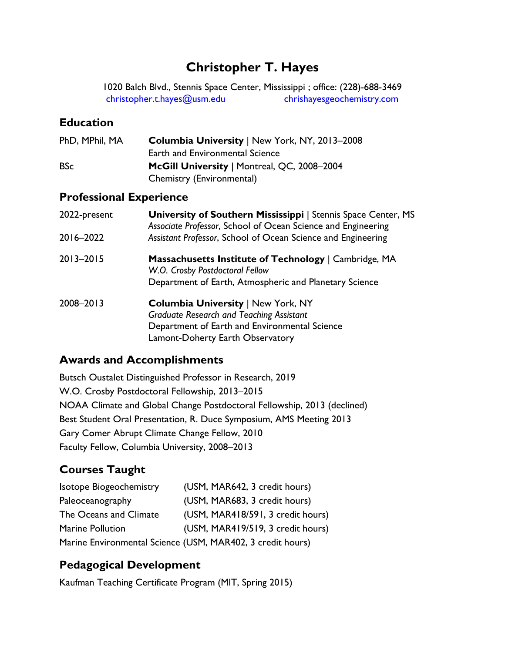# **Christopher T. Hayes**

1020 Balch Blvd., Stennis Space Center, Mississippi ; office: (228)-688-3469 [christopher.t.hayes@usm.edu](mailto:christopher.t.hayes@usm.edu) chrishayesgeochemistry.com

### **Education**

| PhD, MPhil, MA | <b>Columbia University   New York, NY, 2013-2008</b> |
|----------------|------------------------------------------------------|
|                | <b>Earth and Environmental Science</b>               |
| <b>BSc</b>     | McGill University   Montreal, QC, 2008-2004          |
|                | Chemistry (Environmental)                            |

### **Professional Experience**

| 2022-present  | <b>University of Southern Mississippi</b>   Stennis Space Center, MS<br>Associate Professor, School of Ocean Science and Engineering |
|---------------|--------------------------------------------------------------------------------------------------------------------------------------|
| 2016-2022     | Assistant Professor, School of Ocean Science and Engineering                                                                         |
| $2013 - 2015$ | <b>Massachusetts Institute of Technology</b>   Cambridge, MA<br>W.O. Crosby Postdoctoral Fellow                                      |
|               | Department of Earth, Atmospheric and Planetary Science                                                                               |
| 2008-2013     | <b>Columbia University   New York, NY</b>                                                                                            |
|               | <b>Graduate Research and Teaching Assistant</b>                                                                                      |
|               | Department of Earth and Environmental Science                                                                                        |
|               | Lamont-Doherty Earth Observatory                                                                                                     |

### **Awards and Accomplishments**

Butsch Oustalet Distinguished Professor in Research, 2019 W.O. Crosby Postdoctoral Fellowship, 2013–2015 NOAA Climate and Global Change Postdoctoral Fellowship, 2013 (declined) Best Student Oral Presentation, R. Duce Symposium, AMS Meeting 2013 Gary Comer Abrupt Climate Change Fellow, 2010 Faculty Fellow, Columbia University, 2008–2013

## **Courses Taught**

| <b>Isotope Biogeochemistry</b> | (USM, MAR642, 3 credit hours)                              |
|--------------------------------|------------------------------------------------------------|
| Paleoceanography               | (USM, MAR683, 3 credit hours)                              |
| The Oceans and Climate         | (USM, MAR418/591, 3 credit hours)                          |
| <b>Marine Pollution</b>        | (USM, MAR419/519, 3 credit hours)                          |
|                                | Marine Environmental Science (USM, MAR402, 3 credit hours) |

## **Pedagogical Development**

Kaufman Teaching Certificate Program (MIT, Spring 2015)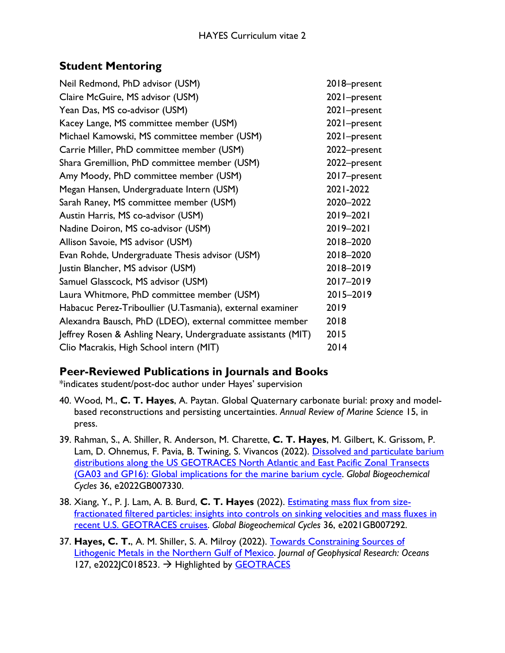### **Student Mentoring**

| Neil Redmond, PhD advisor (USM)                               | 2018-present |
|---------------------------------------------------------------|--------------|
| Claire McGuire, MS advisor (USM)                              | 2021-present |
| Yean Das, MS co-advisor (USM)                                 | 2021-present |
| Kacey Lange, MS committee member (USM)                        | 2021-present |
| Michael Kamowski, MS committee member (USM)                   | 2021-present |
| Carrie Miller, PhD committee member (USM)                     | 2022-present |
| Shara Gremillion, PhD committee member (USM)                  | 2022-present |
| Amy Moody, PhD committee member (USM)                         | 2017-present |
| Megan Hansen, Undergraduate Intern (USM)                      | 2021-2022    |
| Sarah Raney, MS committee member (USM)                        | 2020-2022    |
| Austin Harris, MS co-advisor (USM)                            | 2019-2021    |
| Nadine Doiron, MS co-advisor (USM)                            | 2019-2021    |
| Allison Savoie, MS advisor (USM)                              | 2018-2020    |
| Evan Rohde, Undergraduate Thesis advisor (USM)                | 2018-2020    |
| Justin Blancher, MS advisor (USM)                             | 2018-2019    |
| Samuel Glasscock, MS advisor (USM)                            | 2017-2019    |
| Laura Whitmore, PhD committee member (USM)                    | 2015-2019    |
| Habacuc Perez-Triboullier (U.Tasmania), external examiner     | 2019         |
| Alexandra Bausch, PhD (LDEO), external committee member       | 2018         |
| Jeffrey Rosen & Ashling Neary, Undergraduate assistants (MIT) | 2015         |
| Clio Macrakis, High School intern (MIT)                       | 2014         |

### **Peer-Reviewed Publications in Journals and Books**

\*indicates student/post-doc author under Hayes' supervision

- 40. Wood, M., **C. T. Hayes**, A. Paytan. Global Quaternary carbonate burial: proxy and modelbased reconstructions and persisting uncertainties. *Annual Review of Marine Science* 15, in press.
- 39. Rahman, S., A. Shiller, R. Anderson, M. Charette, **C. T. Hayes**, M. Gilbert, K. Grissom, P. Lam, D. Ohnemus, F. Pavia, B. Twining, S. Vivancos (2022). Dissolved and particulate barium [distributions along the US GEOTRACES North Atlantic and East Pacific Zonal Transects](https://doi.org/10.1029/2022GB007330)  [\(GA03 and GP16\): Global implications for the marine barium cycle.](https://doi.org/10.1029/2022GB007330) *Global Biogeochemical Cycles* 36, e2022GB007330.
- 38. Xiang, Y., P. J. Lam, A. B. Burd, **C. T. Hayes** (2022). [Estimating mass flux from size](https://doi.org/10.1029/2021GB007292)[fractionated filtered particles: insights into controls on sinking velocities and mass fluxes in](https://doi.org/10.1029/2021GB007292)  [recent U.S. GEOTRACES cruises.](https://doi.org/10.1029/2021GB007292) *Global Biogeochemical Cycles* 36, e2021GB007292.
- 37. **Hayes, C. T.**, A. M. Shiller, S. A. Milroy (2022). [Towards Constraining Sources of](https://doi.org/10.1029/2022JC018523)  [Lithogenic Metals in the Northern Gulf of Mexico.](https://doi.org/10.1029/2022JC018523) *Journal of Geophysical Research: Oceans* 127, e2022JC018523. → Highlighted by [GEOTRACES](https://www.geotraces.org/african-dust-source-iron-gulf-mexico/)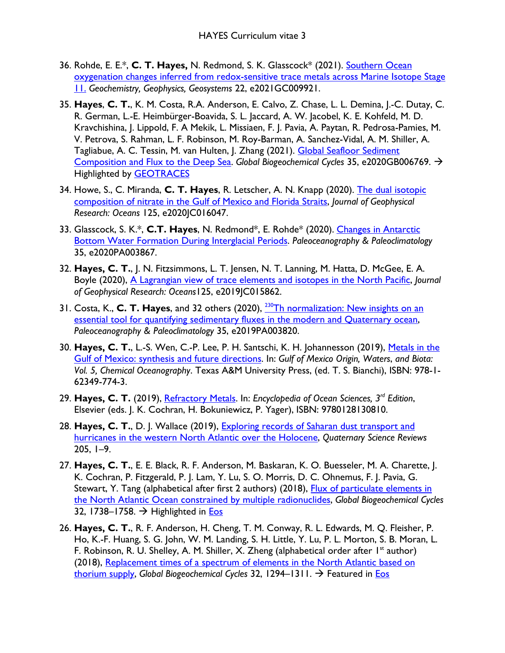- 36. Rohde, E. E.\*, **C. T. Hayes,** N. Redmond, S. K. Glasscock\* (2021). [Southern Ocean](https://doi.org/10.1029/2021GC009921)  [oxygenation changes inferred from redox-sensitive trace metals across Marine Isotope Stage](https://doi.org/10.1029/2021GC009921)  [11.](https://doi.org/10.1029/2021GC009921) *Geochemistry, Geophysics, Geosystems* 22, e2021GC009921.
- 35. **Hayes**, **C. T.**, K. M. Costa, R.A. Anderson, E. Calvo, Z. Chase, L. L. Demina, J.-C. Dutay, C. R. German, L.-E. Heimbürger-Boavida, S. L. Jaccard, A. W. Jacobel, K. E. Kohfeld, M. D. Kravchishina, J. Lippold, F. A Mekik, L. Missiaen, F. J. Pavia, A. Paytan, R. Pedrosa-Pamies, M. V. Petrova, S. Rahman, L. F. Robinson, M. Roy-Barman, A. Sanchez-Vidal, A. M. Shiller, A. Tagliabue, A. C. Tessin, M. van Hulten, J. Zhang (2021). Global Seafloor Sediment [Composition and Flux to the Deep Sea.](https://doi.org/10.1029/2020GB006769) *Global Biogeochemical Cycles* 35, e2020GB006769. Highlighted by [GEOTRACES](https://www.geotraces.org/atlas-burial-fluxes/)
- 34. Howe, S., C. Miranda, **C. T. Hayes**, R. Letscher, A. N. Knapp (2020). [The dual isotopic](https://doi.org/10.1029/2020JC016047)  [composition of nitrate in the Gulf of Mexico and Florida Straits,](https://doi.org/10.1029/2020JC016047) *Journal of Geophysical Research: Oceans* 125, e2020JC016047.
- 33. Glasscock, S. K.\*, **C.T. Hayes**, N. Redmond\*, E. Rohde\* (2020). [Changes in Antarctic](https://doi.org/10.1029/2020PA003867)  [Bottom Water Formation During Interglacial Periods.](https://doi.org/10.1029/2020PA003867) *Paleoceanography & Paleoclimatology* 35, e2020PA003867.
- 32. **Hayes, C. T.**, J. N. Fitzsimmons, L. T. Jensen, N. T. Lanning, M. Hatta, D. McGee, E. A. Boyle (2020), A Lagrangian [view of trace elements and isotopes in the North Pacific,](https://doi.org/10.1029/2019JC015862) *Journal of Geophysical Research: Oceans*125, e2019JC015862.
- 31. Costa, K., **C. T. Hayes**, and 32 others (2020), [230Th normalization: New insights on an](http://doi.org/10.1029/2019PA003820)  [essential tool for quantifying sedimentary fluxes in the modern and Quaternary ocean,](http://doi.org/10.1029/2019PA003820) *Paleoceanography & Paleoclimatology* 35, e2019PA003820.
- 30. **Hayes, C. T.**, L.-S. Wen, C.-P. Lee, P. H. Santschi, K. H. Johannesson (2019), [Metals in the](https://www.tamupress.com/book/9781623497743/gulf-of-mexico-origin-waters-and-biota/)  [Gulf of Mexico: synthesis and future directions.](https://www.tamupress.com/book/9781623497743/gulf-of-mexico-origin-waters-and-biota/) In: *Gulf of Mexico Origin, Waters*, *and Biota: Vol. 5, Chemical Oceanography*. Texas A&M University Press, (ed. T. S. Bianchi), ISBN: 978-1- 62349-774-3.
- 29. **Hayes, C. T.** (2019), [Refractory Metals.](https://doi.org/10.1016/B978-0-12-409548-9.10811-5) In: *Encyclopedia of Ocean Sciences, 3rd Edition*, Elsevier (eds. J. K. Cochran, H. Bokuniewicz, P. Yager), ISBN: 9780128130810.
- 28. **Hayes, C. T.**, D. J. Wallace (2019), [Exploring records of Saharan dust transport and](https://doi.org/10.1016/j.quascirev.2018.11.018)  [hurricanes in the western North Atlantic over the Holocene,](https://doi.org/10.1016/j.quascirev.2018.11.018) *Quaternary Science Reviews* 205, 1–9.
- 27. **Hayes, C. T.**, E. E. Black, R. F. Anderson, M. Baskaran, K. O. Buesseler, M. A. Charette, J. K. Cochran, P. Fitzgerald, P. J. Lam, Y. Lu, S. O. Morris, D. C. Ohnemus, F. J. Pavia, G. Stewart, Y. Tang (alphabetical after first 2 authors) (2018), Flux of particulate elements in [the North Atlantic Ocean constrained by multiple radionuclides,](http://doi.org/10.1029/2018GB005994) *Global Biogeochemical Cycles* 32, 1738–1758.  $\rightarrow$  Highlighted in **Eos**
- 26. **Hayes, C. T.**, R. F. Anderson, H. Cheng, T. M. Conway, R. L. Edwards, M. Q. Fleisher, P. Ho, K.-F. Huang, S. G. John, W. M. Landing, S. H. Little, Y. Lu, P. L. Morton, S. B. Moran, L. F. Robinson, R. U. Shelley, A. M. Shiller, X. Zheng (alphabetical order after  $1<sup>st</sup>$  author) (2018), [Replacement times of a spectrum of elements in the North Atlantic based on](https://doi.org/10.1029/2017GB005839)  [thorium supply,](https://doi.org/10.1029/2017GB005839) *Global Biogeochemical Cycles* 32, 1294–1311. → Featured in [Eos](https://eos.org/research-spotlights/a-novel-approach-reveals-element-cycles-in-the-ocean)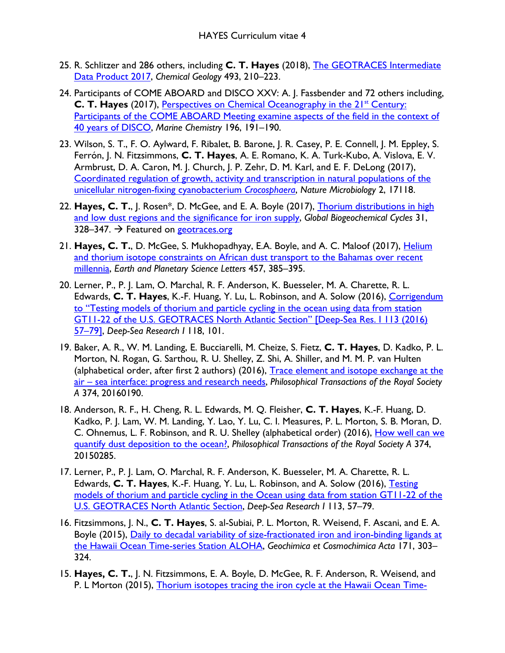- 25. R. Schlitzer and 286 others, including **C. T. Hayes** (2018), [The GEOTRACES Intermediate](https://www.sciencedirect.com/science/article/pii/S0009254118302961)  [Data Product 2017,](https://www.sciencedirect.com/science/article/pii/S0009254118302961) *Chemical Geology* 493, 210–223.
- 24. Participants of COME ABOARD and DISCO XXV: A. J. Fassbender and 72 others including, **C. T. Hayes** (2017), Perspectives on Chemical Oceanography in the 21<sup>st</sup> Century: Participants of the COME ABOARD Meeting examine aspects of the field in the context of [40 years of DISCO,](https://doi.org/10.1016/j.marchem.2017.09.002) *Marine Chemistry* 196, 191–190.
- 23. Wilson, S. T., F. O. Aylward, F. Ribalet, B. Barone, J. R. Casey, P. E. Connell, J. M. Eppley, S. Ferrón, J. N. Fitzsimmons, **C. T. Hayes**, A. E. Romano, K. A. Turk-Kubo, A. Vislova, E. V. Armbrust, D. A. Caron, M. J. Church, J. P. Zehr, D. M. Karl, and E. F. DeLong (2017), [Coordinated regulation of growth, activity and transcription in natural populations of the](https://www.nature.com/articles/nmicrobiol2017118)  [unicellular nitrogen-fixing cyanobacterium](https://www.nature.com/articles/nmicrobiol2017118) *Crocosphaera*, *Nature Microbiology* 2, 17118.
- 22. **Hayes, C. T.**, J. Rosen\*, D. McGee, and E. A. Boyle (2017), [Thorium distributions in high](http://dx.doi.org/10.1002/2016GB005511)  [and low dust regions and the significance for iron supply,](http://dx.doi.org/10.1002/2016GB005511) *Global Biogeochemical Cycles* 31, 328–347.  $\rightarrow$  Featured on [geotraces.org](http://www.geotraces.org/science/science-highlight/1376-contrasting-lithogenic-inputs)
- 21. **Hayes, C. T.**, D. McGee, S. Mukhopadhyay, E.A. Boyle, and A. C. Maloof (2017), [Helium](http://dx.doi.org/10.1016/j.epsl.2016.10.031)  [and thorium isotope constraints on African dust transport to the Bahamas over recent](http://dx.doi.org/10.1016/j.epsl.2016.10.031)  [millennia,](http://dx.doi.org/10.1016/j.epsl.2016.10.031) *Earth and Planetary Science Letters* 457, 385–395.
- 20. Lerner, P., P. J. Lam, O. Marchal, R. F. Anderson, K. Buesseler, M. A. Charette, R. L. Edwards, **C. T. Hayes**, K.-F. Huang, Y. Lu, L. Robinson, and A. Solow (2016), [Corrigendum](https://doi.org/10.1016/j.dsr.2016.09.001)  [to "Testing models of thorium and particle cycling in the ocean using data from station](https://doi.org/10.1016/j.dsr.2016.09.001)  [GT11-22 of the U.S. GEOTRACES North Atlantic Section" \[Deep-Sea Res. I 113 \(2016\)](https://doi.org/10.1016/j.dsr.2016.09.001)  [57–79\],](https://doi.org/10.1016/j.dsr.2016.09.001) *Deep-Sea Research I* 118, 101.
- 19. Baker, A. R., W. M. Landing, E. Bucciarelli, M. Cheize, S. Fietz, **C. T. Hayes**, D. Kadko, P. L. Morton, N. Rogan, G. Sarthou, R. U. Shelley, Z. Shi, A. Shiller, and M. M. P. van Hulten (alphabetical order, after first 2 authors) (2016), Trace element and isotope exchange at the [air – sea interface: progress and research needs,](http://dx.doi.org/10.1098/rsta.2016.0190) *Philosophical Transactions of the Royal Society A* 374, 20160190.
- 18. Anderson, R. F., H. Cheng, R. L. Edwards, M. Q. Fleisher, **C. T. Hayes**, K.-F. Huang, D. Kadko, P. J. Lam, W. M. Landing, Y. Lao, Y. Lu, C. I. Measures, P. L. Morton, S. B. Moran, D. C. Ohnemus, L. F. Robinson, and R. U. Shelley (alphabetical order) (2016), [How well can we](http://dx.doi.org/10.1098/rsta.2015.0285)  [quantify dust deposition to the ocean?,](http://dx.doi.org/10.1098/rsta.2015.0285) *Philosophical Transactions of the Royal Society A* 374, 20150285.
- 17. Lerner, P., P. J. Lam, O. Marchal, R. F. Anderson, K. Buesseler, M. A. Charette, R. L. Edwards, **C. T. Hayes**, K.-F. Huang, Y. Lu, L. Robinson, and A. Solow (2016), [Testing](http://www.sciencedirect.com/science/article/pii/S0967063716301066)  [models of thorium and particle cycling in the Ocean using data from station GT11-22 of the](http://www.sciencedirect.com/science/article/pii/S0967063716301066)  [U.S. GEOTRACES North Atlantic Section,](http://www.sciencedirect.com/science/article/pii/S0967063716301066) *Deep-Sea Research I* 113, 57–79.
- 16. Fitzsimmons, J. N., **C. T. Hayes**, S. al-Subiai, P. L. Morton, R. Weisend, F. Ascani, and E. A. Boyle (2015), Daily to decadal variability of size-fractionated iron and iron-binding ligands at [the Hawaii Ocean Time-series Station ALOHA,](http://www.sciencedirect.com/science/article/pii/S0016703715005062) *Geochimica et Cosmochimica Acta* 171, 303– 324.
- 15. **Hayes, C. T.**, J. N. Fitzsimmons, E. A. Boyle, D. McGee, R. F. Anderson, R. Weisend, and P. L Morton (2015), [Thorium isotopes tracing the iron cycle at the Hawaii Ocean Time-](http://www.sciencedirect.com/science/article/pii/S0016703715004524)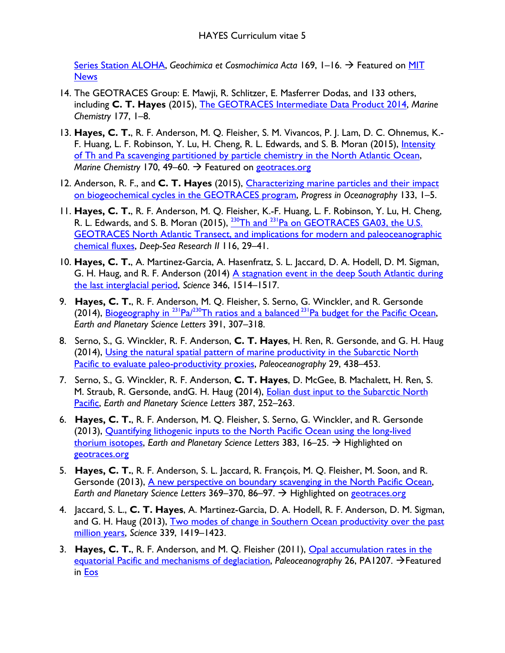[Series Station ALOHA,](http://www.sciencedirect.com/science/article/pii/S0016703715004524) *Geochimica et Cosmochimica Acta* 169, 1–16. Featured on [MIT](http://news.mit.edu/2015/desert-storms-affect-ocean-phytoplankton-0827)  **[News](http://news.mit.edu/2015/desert-storms-affect-ocean-phytoplankton-0827)** 

- 14. The GEOTRACES Group: E. Mawji, R. Schlitzer, E. Masferrer Dodas, and 133 others, including **C. T. Hayes** (2015), [The GEOTRACES Intermediate Data Product 2014,](http://www.sciencedirect.com/science/article/pii/S0304420315000997) *Marine Chemistry* 177, 1–8.
- 13. **Hayes, C. T.**, R. F. Anderson, M. Q. Fleisher, S. M. Vivancos, P. J. Lam, D. C. Ohnemus, K.- F. Huang, L. F. Robinson, Y. Lu, H. Cheng, R. L. Edwards, and S. B. Moran (2015), *Intensity* [of Th and Pa scavenging partitioned by particle chemistry in the North Atlantic Ocean,](http://www.sciencedirect.com/science/article/pii/S0304420315000183) *Marine Chemistry* 170, 49–60. → Featured on [geotraces.org](http://geotraces.org/science/science-highlight/1013-thorium-and-protactinium-radionuclides-enlighten-marine-particles-processes)
- 12. Anderson, R. F., and **C. T. Hayes** (2015), [Characterizing marine particles and their impact](http://www.sciencedirect.com/science/article/pii/S0079661114001992)  [on biogeochemical cycles in the GEOTRACES program,](http://www.sciencedirect.com/science/article/pii/S0079661114001992) *Progress in Oceanography* 133, 1–5.
- 11. **Hayes, C. T.**, R. F. Anderson, M. Q. Fleisher, K.-F. Huang, L. F. Robinson, Y. Lu, H. Cheng, R. L. Edwards, and S. B. Moran (2015), <sup>230</sup>Th and <sup>231</sup>Pa on GEOTRACES GA03, the U.S. [GEOTRACES North Atlantic Transect, and implications for modern and paleoceanographic](http://www.sciencedirect.com/science/article/pii/S0967064514001799)  [chemical fluxes,](http://www.sciencedirect.com/science/article/pii/S0967064514001799) *Deep-Sea Research II* 116, 29–41.
- 10. **Hayes, C. T.**, A. Martinez-Garcia, A. Hasenfratz, S. L. Jaccard, D. A. Hodell, D. M. Sigman, G. H. Haug, and R. F. Anderson (2014) [A stagnation event in the deep South Atlantic during](http://www.sciencemag.org/content/346/6216/1514.short)  [the last interglacial period,](http://www.sciencemag.org/content/346/6216/1514.short) *Science* 346, 1514–1517.
- 9. **Hayes, C. T.**, R. F. Anderson, M. Q. Fleisher, S. Serno, G. Winckler, and R. Gersonde (2014), Biogeography in <sup>231</sup>Pa/<sup>230</sup>Th ratios and a balanced <sup>231</sup>Pa budget for the Pacific Ocean, *Earth and Planetary Science Letters* 391, 307–318.
- 8. Serno, S., G. Winckler, R. F. Anderson, **C. T. Hayes**, H. Ren, R. Gersonde, and G. H. Haug (2014), Using the natural spatial pattern [of marine productivity in the Subarctic North](http://onlinelibrary.wiley.com/doi/10.1002/2013PA002594/full)  [Pacific to evaluate paleo-productivity proxies,](http://onlinelibrary.wiley.com/doi/10.1002/2013PA002594/full) *Paleoceanography* 29, 438–453.
- 7. Serno, S., G. Winckler, R. F. Anderson, **C. T. Hayes**, D. McGee, B. Machalett, H. Ren, S. M. Straub, R. Gersonde, andG. H. Haug (2014), [Eolian dust input to the Subarctic North](http://www.sciencedirect.com/science/article/pii/S0012821X13006420)  [Pacific,](http://www.sciencedirect.com/science/article/pii/S0012821X13006420) *Earth and Planetary Science Letters* 387, 252–263.
- 6. **Hayes, C. T.**, R. F. Anderson, M. Q. Fleisher, S. Serno, G. Winckler, and R. Gersonde (2013), [Quantifying lithogenic inputs to the North Pacific Ocean using the long-lived](http://www.sciencedirect.com/science/article/pii/S0012821X13005360)  [thorium isotopes,](http://www.sciencedirect.com/science/article/pii/S0012821X13005360) Earth and Planetary Science Letters 383, 16–25. → Highlighted on [geotraces.org](http://www.geotraces.org/science/science-highlight/848-long-lived-thorium-isotopes)
- 5. **Hayes, C. T.**, R. F. Anderson, S. L. Jaccard, R. François, M. Q. Fleisher, M. Soon, and R. Gersonde (2013), A new perspective on [boundary scavenging in the North Pacific Ocean,](http://www.sciencedirect.com/science/article/pii/S0012821X13001295) *Earth and Planetary Science Letters* 369–370, 86–97. → Highlighted on [geotraces.org](http://www.geotraces.org/science/science-highlight/838-new-revelations-on-boundary-scavenging-in-the-north-pacific)
- 4. Jaccard, S. L., **C. T. Hayes**, A. Martinez-Garcia, D. A. Hodell, R. F. Anderson, D. M. Sigman, and G. H. Haug (2013), Two modes of change in Southern Ocean productivity over the past [million years,](http://www.sciencemag.org/content/339/6126/1419) *Science* 339, 1419–1423.
- 3. **Hayes, C. T.**, R. F. Anderson, and M. Q. Fleisher (2011), [Opal accumulation rates in the](http://onlinelibrary.wiley.com/doi/10.1029/2010PA002008/abstract)  [equatorial Pacific and mechanisms of deglaciation,](http://onlinelibrary.wiley.com/doi/10.1029/2010PA002008/abstract) *Paleoceanography* 26, PA1207.  $\rightarrow$  Featured in [Eos](http://onlinelibrary.wiley.com/doi/10.1029/2011EO160008/full)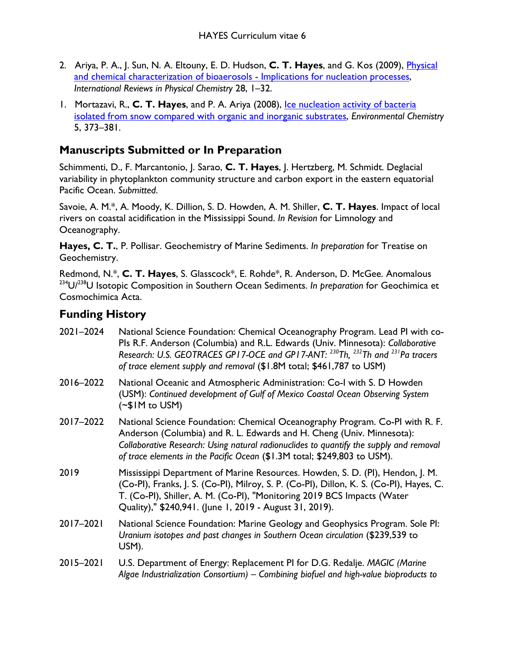- 2. Ariya, P. A., J. Sun, N. A. Eltouny, E. D. Hudson, **C. T. Hayes**, and G. Kos (2009), [Physical](http://www.tandfonline.com/doi/abs/10.1080/01442350802597438#preview)  [and chemical characterization of bioaerosols - Implications for nucleation processes,](http://www.tandfonline.com/doi/abs/10.1080/01442350802597438#preview) *International Reviews in Physical Chemistry* 28, 1–32.
- 1. Mortazavi, R., **C. T. Hayes**, and P. A. Ariya (2008), [Ice nucleation activity of bacteria](http://www.publish.csiro.au/paper/EN08055.htm)  [isolated from snow compared with organic and inorganic substrates,](http://www.publish.csiro.au/paper/EN08055.htm) *Environmental Chemistry* 5, 373–381.

## **Manuscripts Submitted or In Preparation**

Schimmenti, D., F. Marcantonio, J. Sarao, **C. T. Hayes**, J. Hertzberg, M. Schmidt. Deglacial variability in phytoplankton community structure and carbon export in the eastern equatorial Pacific Ocean. *Submitted*.

Savoie, A. M.\*, A. Moody, K. Dillion, S. D. Howden, A. M. Shiller, **C. T. Hayes**. Impact of local rivers on coastal acidification in the Mississippi Sound. *In Revision* for Limnology and Oceanography.

**Hayes, C. T.**, P. Pollisar. Geochemistry of Marine Sediments. *In preparation* for Treatise on Geochemistry.

Redmond, N.\*, **C. T. Hayes**, S. Glasscock\*, E. Rohde\*, R. Anderson, D. McGee. Anomalous 234U/238U Isotopic Composition in Southern Ocean Sediments. *In preparation* for Geochimica et Cosmochimica Acta.

## **Funding History**

| 2021-2024 | National Science Foundation: Chemical Oceanography Program. Lead PI with co-<br>Pls R.F. Anderson (Columbia) and R.L. Edwards (Univ. Minnesota): Collaborative<br>Research: U.S. GEOTRACES GP17-OCE and GP17-ANT: <sup>230</sup> Th, <sup>232</sup> Th and <sup>231</sup> Pa tracers<br>of trace element supply and removal (\$1.8M total; \$461,787 to USM) |
|-----------|--------------------------------------------------------------------------------------------------------------------------------------------------------------------------------------------------------------------------------------------------------------------------------------------------------------------------------------------------------------|
| 2016-2022 | National Oceanic and Atmospheric Administration: Co-I with S. D Howden<br>(USM): Continued development of Gulf of Mexico Coastal Ocean Observing System<br>(~\$IM to USM)                                                                                                                                                                                    |
| 2017-2022 | National Science Foundation: Chemical Oceanography Program. Co-PI with R. F.<br>Anderson (Columbia) and R. L. Edwards and H. Cheng (Univ. Minnesota):<br>Collaborative Research: Using natural radionuclides to quantify the supply and removal<br>of trace elements in the Pacific Ocean (\$1.3M total; \$249,803 to USM).                                  |
| 2019      | Mississippi Department of Marine Resources. Howden, S. D. (PI), Hendon, J. M.<br>(Co-PI), Franks, J. S. (Co-PI), Milroy, S. P. (Co-PI), Dillon, K. S. (Co-PI), Hayes, C.<br>T. (Co-PI), Shiller, A. M. (Co-PI), "Monitoring 2019 BCS Impacts (Water<br>Quality)," \$240,941. (June 1, 2019 - August 31, 2019).                                               |
| 2017-2021 | National Science Foundation: Marine Geology and Geophysics Program. Sole PI:<br>Uranium isotopes and past changes in Southern Ocean circulation (\$239,539 to<br>USM).                                                                                                                                                                                       |
| 2015-2021 | U.S. Department of Energy: Replacement PI for D.G. Redalje. MAGIC (Marine<br>Algae Industrialization Consortium) - Combining biofuel and high-value bioproducts to                                                                                                                                                                                           |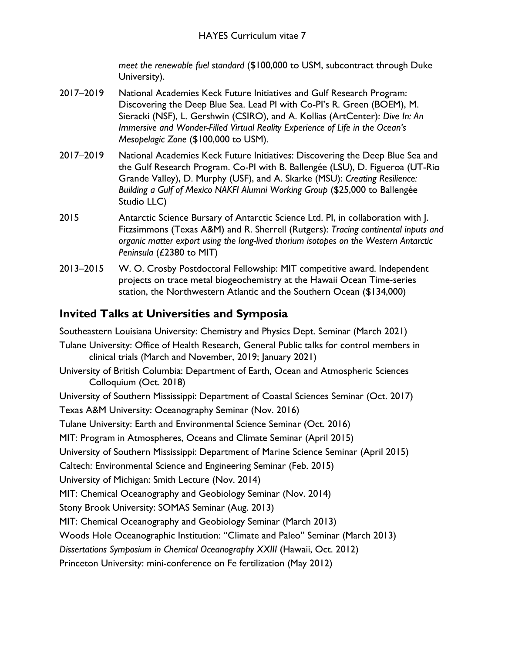*meet the renewable fuel standard* (\$100,000 to USM, subcontract through Duke University).

- 2017–2019 National Academies Keck Future Initiatives and Gulf Research Program: Discovering the Deep Blue Sea. Lead PI with Co-PI's R. Green (BOEM), M. Sieracki (NSF), L. Gershwin (CSIRO), and A. Kollias (ArtCenter): *Dive In: An Immersive and Wonder-Filled Virtual Reality Experience of Life in the Ocean's Mesopelagic Zone* (\$100,000 to USM).
- 2017–2019 National Academies Keck Future Initiatives: Discovering the Deep Blue Sea and the Gulf Research Program. Co-PI with B. Ballengée (LSU), D. Figueroa (UT-Rio Grande Valley), D. Murphy (USF), and A. Skarke (MSU): *Creating Resilience: Building a Gulf of Mexico NAKFI Alumni Working Group* (\$25,000 to Ballengée Studio LLC)
- 2015 Antarctic Science Bursary of Antarctic Science Ltd. PI, in collaboration with J. Fitzsimmons (Texas A&M) and R. Sherrell (Rutgers): *Tracing continental inputs and organic matter export using the long-lived thorium isotopes on the Western Antarctic Peninsula* (£2380 to MIT)
- 2013–2015 W. O. Crosby Postdoctoral Fellowship: MIT competitive award. Independent projects on trace metal biogeochemistry at the Hawaii Ocean Time-series station, the Northwestern Atlantic and the Southern Ocean (\$134,000)

## **Invited Talks at Universities and Symposia**

Southeastern Louisiana University: Chemistry and Physics Dept. Seminar (March 2021)

- Tulane University: Office of Health Research, General Public talks for control members in clinical trials (March and November, 2019; January 2021)
- University of British Columbia: Department of Earth, Ocean and Atmospheric Sciences Colloquium (Oct. 2018)

University of Southern Mississippi: Department of Coastal Sciences Seminar (Oct. 2017) Texas A&M University: Oceanography Seminar (Nov. 2016)

Tulane University: Earth and Environmental Science Seminar (Oct. 2016)

MIT: Program in Atmospheres, Oceans and Climate Seminar (April 2015)

University of Southern Mississippi: Department of Marine Science Seminar (April 2015)

Caltech: Environmental Science and Engineering Seminar (Feb. 2015)

University of Michigan: Smith Lecture (Nov. 2014)

MIT: Chemical Oceanography and Geobiology Seminar (Nov. 2014)

Stony Brook University: SOMAS Seminar (Aug. 2013)

MIT: Chemical Oceanography and Geobiology Seminar (March 2013)

Woods Hole Oceanographic Institution: "Climate and Paleo" Seminar (March 2013)

*Dissertations Symposium in Chemical Oceanography XXIII* (Hawaii, Oct. 2012)

Princeton University: mini-conference on Fe fertilization (May 2012)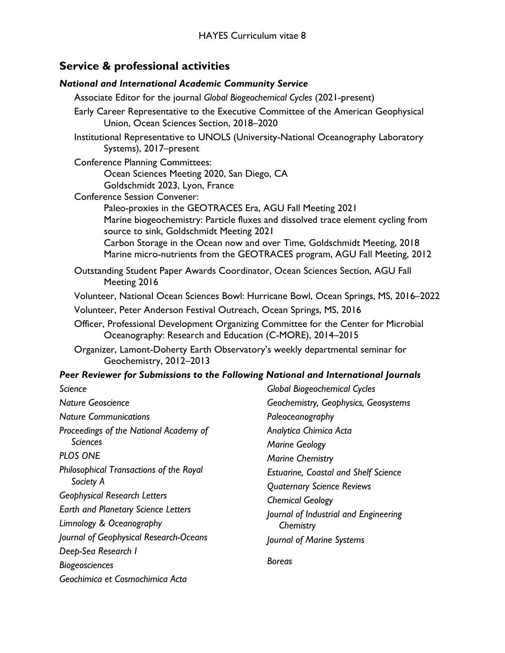### **Service & professional activities**

#### *National and International Academic Community Service*

Associate Editor for the journal *Global Biogeochemical Cycles* (2021-present) Early Career Representative to the Executive Committee of the American Geophysical Union, Ocean Sciences Section, 2018–2020 Institutional Representative to UNOLS (University-National Oceanography Laboratory Systems), 2017–present Conference Planning Committees: Ocean Sciences Meeting 2020, San Diego, CA Goldschmidt 2023, Lyon, France Conference Session Convener: Paleo-proxies in the GEOTRACES Era, AGU Fall Meeting 2021 Marine biogeochemistry: Particle fluxes and dissolved trace element cycling from source to sink, Goldschmidt Meeting 2021 Carbon Storage in the Ocean now and over Time, Goldschmidt Meeting, 2018 Marine micro-nutrients from the GEOTRACES program, AGU Fall Meeting, 2012 Outstanding Student Paper Awards Coordinator, Ocean Sciences Section, AGU Fall Meeting 2016 Volunteer, National Ocean Sciences Bowl: Hurricane Bowl, Ocean Springs, MS, 2016–2022 Volunteer, Peter Anderson Festival Outreach, Ocean Springs, MS, 2016 Officer, Professional Development Organizing Committee for the Center for Microbial Oceanography: Research and Education (C-MORE), 2014–2015 Organizer, Lamont-Doherty Earth Observatory's weekly departmental seminar for Geochemistry, 2012–2013 *Peer Reviewer for Submissions to the Following National and International Journals Science Nature Geoscience Nature Communications Global Biogeochemical Cycles Geochemistry, Geophysics, Geosystems*

*Proceedings of the National Academy of Sciences PLOS ONE*

*Philosophical Transactions of the Royal Society A*

*Geophysical Research Letters*

*Earth and Planetary Science Letters* 

*Limnology & Oceanography*

*Journal of Geophysical Research-Oceans* 

*Deep-Sea Research I*

*Biogeosciences*

*Geochimica et Cosmochimica Acta* 

*Paleoceanography Analytica Chimica Acta Marine Geology Marine Chemistry Estuarine, Coastal and Shelf Science Quaternary Science Reviews Chemical Geology Journal of Industrial and Engineering Chemistry Journal of Marine Systems Boreas*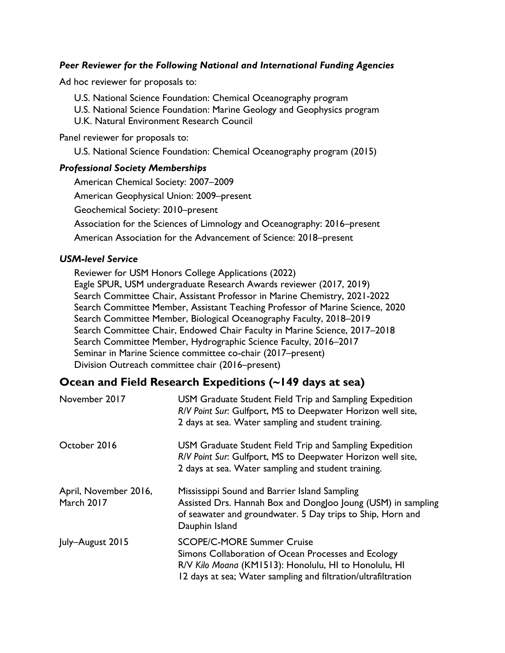#### *Peer Reviewer for the Following National and International Funding Agencies*

Ad hoc reviewer for proposals to:

U.S. National Science Foundation: Chemical Oceanography program

U.S. National Science Foundation: Marine Geology and Geophysics program

U.K. Natural Environment Research Council

Panel reviewer for proposals to:

U.S. National Science Foundation: Chemical Oceanography program (2015)

#### *Professional Society Memberships*

American Chemical Society: 2007–2009 American Geophysical Union: 2009–present Geochemical Society: 2010–present Association for the Sciences of Limnology and Oceanography: 2016–present American Association for the Advancement of Science: 2018–present

#### *USM-level Service*

Reviewer for USM Honors College Applications (2022) Eagle SPUR, USM undergraduate Research Awards reviewer (2017, 2019) Search Committee Chair, Assistant Professor in Marine Chemistry, 2021-2022 Search Committee Member, Assistant Teaching Professor of Marine Science, 2020 Search Committee Member, Biological Oceanography Faculty, 2018–2019 Search Committee Chair, Endowed Chair Faculty in Marine Science, 2017–2018 Search Committee Member, Hydrographic Science Faculty, 2016–2017 Seminar in Marine Science committee co-chair (2017–present) Division Outreach committee chair (2016–present)

### **Ocean and Field Research Expeditions (~149 days at sea)**

| November 2017                       | USM Graduate Student Field Trip and Sampling Expedition<br>R/V Point Sur: Gulfport, MS to Deepwater Horizon well site,<br>2 days at sea. Water sampling and student training.                                      |
|-------------------------------------|--------------------------------------------------------------------------------------------------------------------------------------------------------------------------------------------------------------------|
| October 2016                        | USM Graduate Student Field Trip and Sampling Expedition<br>R/V Point Sur: Gulfport, MS to Deepwater Horizon well site,<br>2 days at sea. Water sampling and student training.                                      |
| April, November 2016,<br>March 2017 | Mississippi Sound and Barrier Island Sampling<br>Assisted Drs. Hannah Box and Dongloo Joung (USM) in sampling<br>of seawater and groundwater. 5 Day trips to Ship, Horn and<br>Dauphin Island                      |
| July-August 2015                    | <b>SCOPE/C-MORE Summer Cruise</b><br>Simons Collaboration of Ocean Processes and Ecology<br>R/V Kilo Moana (KM1513): Honolulu, HI to Honolulu, HI<br>12 days at sea; Water sampling and filtration/ultrafiltration |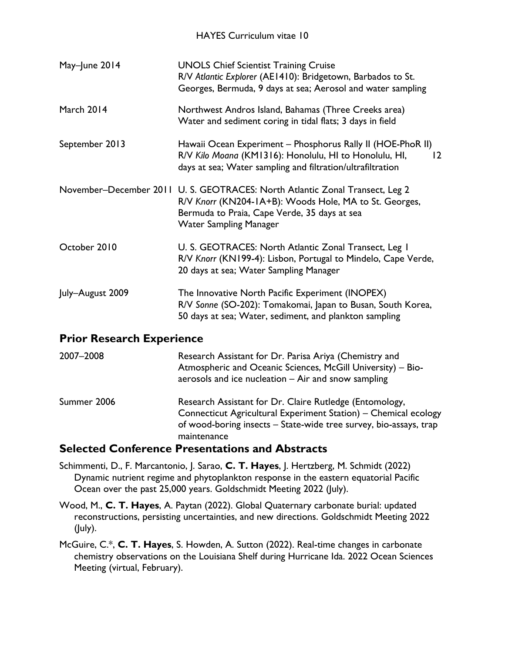#### HAYES Curriculum vitae 10

| May-June 2014    | <b>UNOLS Chief Scientist Training Cruise</b><br>R/V Atlantic Explorer (AE1410): Bridgetown, Barbados to St.<br>Georges, Bermuda, 9 days at sea; Aerosol and water sampling                                              |
|------------------|-------------------------------------------------------------------------------------------------------------------------------------------------------------------------------------------------------------------------|
| March 2014       | Northwest Andros Island, Bahamas (Three Creeks area)<br>Water and sediment coring in tidal flats; 3 days in field                                                                                                       |
| September 2013   | Hawaii Ocean Experiment - Phosphorus Rally II (HOE-PhoR II)<br>R/V Kilo Moana (KM1316): Honolulu, HI to Honolulu, HI,<br>$12 \,$<br>days at sea; Water sampling and filtration/ultrafiltration                          |
|                  | November-December 2011 U. S. GEOTRACES: North Atlantic Zonal Transect, Leg 2<br>R/V Knorr (KN204-1A+B): Woods Hole, MA to St. Georges,<br>Bermuda to Praia, Cape Verde, 35 days at sea<br><b>Water Sampling Manager</b> |
| October 2010     | U. S. GEOTRACES: North Atlantic Zonal Transect, Leg 1<br>R/V Knorr (KN199-4): Lisbon, Portugal to Mindelo, Cape Verde,<br>20 days at sea; Water Sampling Manager                                                        |
| July-August 2009 | The Innovative North Pacific Experiment (INOPEX)<br>R/V Sonne (SO-202): Tomakomai, Japan to Busan, South Korea,<br>50 days at sea; Water, sediment, and plankton sampling                                               |

### **Prior Research Experience**

| 2007-2008   | Research Assistant for Dr. Parisa Ariya (Chemistry and<br>Atmospheric and Oceanic Sciences, McGill University) - Bio-<br>aerosols and ice nucleation – Air and snow sampling                                   |
|-------------|----------------------------------------------------------------------------------------------------------------------------------------------------------------------------------------------------------------|
| Summer 2006 | Research Assistant for Dr. Claire Rutledge (Entomology,<br>Connecticut Agricultural Experiment Station) – Chemical ecology<br>of wood-boring insects - State-wide tree survey, bio-assays, trap<br>maintenance |
| - - - - -   |                                                                                                                                                                                                                |

### **Selected Conference Presentations and Abstracts**

Schimmenti, D., F. Marcantonio, J. Sarao, **C. T. Hayes**, J. Hertzberg, M. Schmidt (2022) Dynamic nutrient regime and phytoplankton response in the eastern equatorial Pacific Ocean over the past 25,000 years. Goldschmidt Meeting 2022 (July).

Wood, M., **C. T. Hayes**, A. Paytan (2022). Global Quaternary carbonate burial: updated reconstructions, persisting uncertainties, and new directions. Goldschmidt Meeting 2022 (July).

McGuire, C.\*, **C. T. Hayes**, S. Howden, A. Sutton (2022). Real-time changes in carbonate chemistry observations on the Louisiana Shelf during Hurricane Ida. 2022 Ocean Sciences Meeting (virtual, February).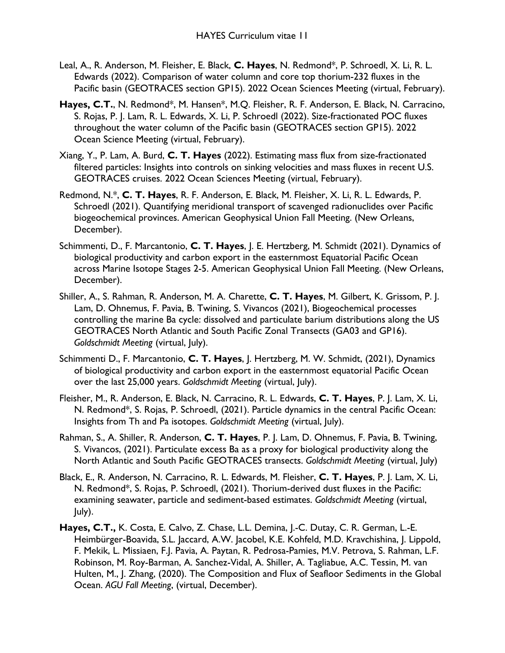- Leal, A., R. Anderson, M. Fleisher, E. Black, **C. Hayes**, N. Redmond\*, P. Schroedl, X. Li, R. L. Edwards (2022). Comparison of water column and core top thorium-232 fluxes in the Pacific basin (GEOTRACES section GP15). 2022 Ocean Sciences Meeting (virtual, February).
- **Hayes, C.T.**, N. Redmond\*, M. Hansen\*, M.Q. Fleisher, R. F. Anderson, E. Black, N. Carracino, S. Rojas, P. J. Lam, R. L. Edwards, X. Li, P. Schroedl (2022). Size-fractionated POC fluxes throughout the water column of the Pacific basin (GEOTRACES section GP15). 2022 Ocean Science Meeting (virtual, February).
- Xiang, Y., P. Lam, A. Burd, **C. T. Hayes** (2022). Estimating mass flux from size-fractionated filtered particles: Insights into controls on sinking velocities and mass fluxes in recent U.S. GEOTRACES cruises. 2022 Ocean Sciences Meeting (virtual, February).
- Redmond, N.\*, **C. T. Hayes**, R. F. Anderson, E. Black, M. Fleisher, X. Li, R. L. Edwards, P. Schroedl (2021). Quantifying meridional transport of scavenged radionuclides over Pacific biogeochemical provinces. American Geophysical Union Fall Meeting. (New Orleans, December).
- Schimmenti, D., F. Marcantonio, **C. T. Hayes**, J. E. Hertzberg, M. Schmidt (2021). Dynamics of biological productivity and carbon export in the easternmost Equatorial Pacific Ocean across Marine Isotope Stages 2-5. American Geophysical Union Fall Meeting. (New Orleans, December).
- Shiller, A., S. Rahman, R. Anderson, M. A. Charette, **C. T. Hayes**, M. Gilbert, K. Grissom, P. J. Lam, D. Ohnemus, F. Pavia, B. Twining, S. Vivancos (2021), Biogeochemical processes controlling the marine Ba cycle: dissolved and particulate barium distributions along the US GEOTRACES North Atlantic and South Pacific Zonal Transects (GA03 and GP16). *Goldschmidt Meeting* (virtual, July).
- Schimmenti D., F. Marcantonio, **C. T. Hayes**, J. Hertzberg, M. W. Schmidt, (2021), Dynamics of biological productivity and carbon export in the easternmost equatorial Pacific Ocean over the last 25,000 years. *Goldschmidt Meeting* (virtual, July).
- Fleisher, M., R. Anderson, E. Black, N. Carracino, R. L. Edwards, **C. T. Hayes**, P. J. Lam, X. Li, N. Redmond\*, S. Rojas, P. Schroedl, (2021). Particle dynamics in the central Pacific Ocean: Insights from Th and Pa isotopes. *Goldschmidt Meeting* (virtual, July).
- Rahman, S., A. Shiller, R. Anderson, **C. T. Hayes**, P. J. Lam, D. Ohnemus, F. Pavia, B. Twining, S. Vivancos, (2021). Particulate excess Ba as a proxy for biological productivity along the North Atlantic and South Pacific GEOTRACES transects. *Goldschmidt Meeting* (virtual, July)
- Black, E., R. Anderson, N. Carracino, R. L. Edwards, M. Fleisher, **C. T. Hayes**, P. J. Lam, X. Li, N. Redmond\*, S. Rojas, P. Schroedl, (2021). Thorium-derived dust fluxes in the Pacific: examining seawater, particle and sediment-based estimates. *Goldschmidt Meeting* (virtual, July).
- **Hayes, C.T.,** K. Costa, E. Calvo, Z. Chase, L.L. Demina, J.-C. Dutay, C. R. German, L.-E. Heimbürger-Boavida, S.L. Jaccard, A.W. Jacobel, K.E. Kohfeld, M.D. Kravchishina, J. Lippold, F. Mekik, L. Missiaen, F.J. Pavia, A. Paytan, R. Pedrosa-Pamies, M.V. Petrova, S. Rahman, L.F. Robinson, M. Roy-Barman, A. Sanchez-Vidal, A. Shiller, A. Tagliabue, A.C. Tessin, M. van Hulten, M., J. Zhang, (2020). The Composition and Flux of Seafloor Sediments in the Global Ocean. *AGU Fall Meeting*, (virtual, December).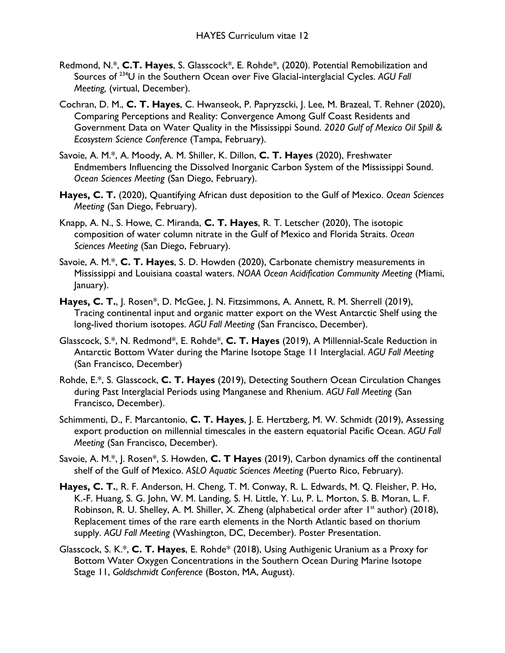- Redmond, N.\*, **C.T. Hayes**, S. Glasscock\*, E. Rohde\*, (2020). Potential Remobilization and Sources of 234U in the Southern Ocean over Five Glacial-interglacial Cycles. *AGU Fall Meeting,* (virtual, December).
- Cochran, D. M., **C. T. Hayes**, C. Hwanseok, P. Papryzscki, J. Lee, M. Brazeal, T. Rehner (2020), Comparing Perceptions and Reality: Convergence Among Gulf Coast Residents and Government Data on Water Quality in the Mississippi Sound. *2020 Gulf of Mexico Oil Spill & Ecosystem Science Conference* (Tampa, February).
- Savoie, A. M.\*, A. Moody, A. M. Shiller, K. Dillon, **C. T. Hayes** (2020), Freshwater Endmembers Influencing the Dissolved Inorganic Carbon System of the Mississippi Sound. *Ocean Sciences Meeting* (San Diego, February).
- **Hayes, C. T.** (2020), Quantifying African dust deposition to the Gulf of Mexico. *Ocean Sciences Meeting* (San Diego, February).
- Knapp, A. N., S. Howe, C. Miranda, **C. T. Hayes**, R. T. Letscher (2020), The isotopic composition of water column nitrate in the Gulf of Mexico and Florida Straits. *Ocean Sciences Meeting* (San Diego, February).
- Savoie, A. M.\*, **C. T. Hayes**, S. D. Howden (2020), Carbonate chemistry measurements in Mississippi and Louisiana coastal waters. *NOAA Ocean Acidification Community Meeting* (Miami, January).
- **Hayes, C. T.**, J. Rosen\*, D. McGee, J. N. Fitzsimmons, A. Annett, R. M. Sherrell (2019), Tracing continental input and organic matter export on the West Antarctic Shelf using the long-lived thorium isotopes. *AGU Fall Meeting* (San Francisco, December).
- Glasscock, S.\*, N. Redmond\*, E. Rohde\*, **C. T. Hayes** (2019), A Millennial-Scale Reduction in Antarctic Bottom Water during the Marine Isotope Stage 11 Interglacial. *AGU Fall Meeting*  (San Francisco, December)
- Rohde, E.\*, S. Glasscock, **C. T. Hayes** (2019), Detecting Southern Ocean Circulation Changes during Past Interglacial Periods using Manganese and Rhenium. *AGU Fall Meeting* (San Francisco, December).
- Schimmenti, D., F. Marcantonio, **C. T. Hayes**, J. E. Hertzberg, M. W. Schmidt (2019), Assessing export production on millennial timescales in the eastern equatorial Pacific Ocean. *AGU Fall Meeting* (San Francisco, December).
- Savoie, A. M.\*, J. Rosen\*, S. Howden, **C. T Hayes** (2019), Carbon dynamics off the continental shelf of the Gulf of Mexico. *ASLO Aquatic Sciences Meeting* (Puerto Rico, February).
- **Hayes, C. T.**, R. F. Anderson, H. Cheng, T. M. Conway, R. L. Edwards, M. Q. Fleisher, P. Ho, K.-F. Huang, S. G. John, W. M. Landing, S. H. Little, Y. Lu, P. L. Morton, S. B. Moran, L. F. Robinson, R. U. Shelley, A. M. Shiller, X. Zheng (alphabetical order after  $1<sup>st</sup>$  author) (2018), Replacement times of the rare earth elements in the North Atlantic based on thorium supply. *AGU Fall Meeting* (Washington, DC, December). Poster Presentation.
- Glasscock, S. K.\*, **C. T. Hayes**, E. Rohde\* (2018), Using Authigenic Uranium as a Proxy for Bottom Water Oxygen Concentrations in the Southern Ocean During Marine Isotope Stage 11, *Goldschmidt Conference* (Boston, MA, August).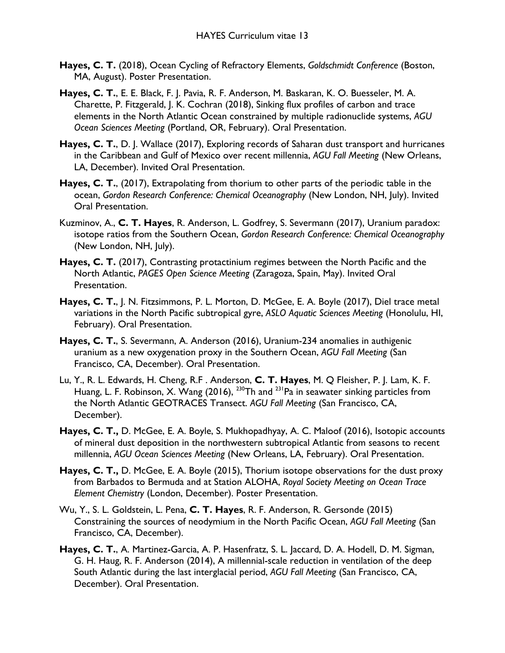- **Hayes, C. T.** (2018), Ocean Cycling of Refractory Elements, *Goldschmidt Conference* (Boston, MA, August). Poster Presentation.
- **Hayes, C. T.**, E. E. Black, F. J. Pavia, R. F. Anderson, M. Baskaran, K. O. Buesseler, M. A. Charette, P. Fitzgerald, J. K. Cochran (2018), Sinking flux profiles of carbon and trace elements in the North Atlantic Ocean constrained by multiple radionuclide systems, *AGU Ocean Sciences Meeting* (Portland, OR, February). Oral Presentation.
- **Hayes, C. T.**, D. J. Wallace (2017), Exploring records of Saharan dust transport and hurricanes in the Caribbean and Gulf of Mexico over recent millennia, *AGU Fall Meeting* (New Orleans, LA, December). Invited Oral Presentation.
- **Hayes, C. T.**, (2017), Extrapolating from thorium to other parts of the periodic table in the ocean, *Gordon Research Conference: Chemical Oceanography* (New London, NH, July). Invited Oral Presentation.
- Kuzminov, A., **C. T. Hayes**, R. Anderson, L. Godfrey, S. Severmann (2017), Uranium paradox: isotope ratios from the Southern Ocean, *Gordon Research Conference: Chemical Oceanography* (New London, NH, July).
- **Hayes, C. T.** (2017), Contrasting protactinium regimes between the North Pacific and the North Atlantic, *PAGES Open Science Meeting* (Zaragoza, Spain, May). Invited Oral Presentation.
- **Hayes, C. T.**, J. N. Fitzsimmons, P. L. Morton, D. McGee, E. A. Boyle (2017), Diel trace metal variations in the North Pacific subtropical gyre, *ASLO Aquatic Sciences Meeting* (Honolulu, HI, February). Oral Presentation.
- **Hayes, C. T.**, S. Severmann, A. Anderson (2016), Uranium-234 anomalies in authigenic uranium as a new oxygenation proxy in the Southern Ocean, *AGU Fall Meeting* (San Francisco, CA, December). Oral Presentation.
- Lu, Y., R. L. Edwards, H. Cheng, R.F . Anderson, **C. T. Hayes**, M. Q Fleisher, P. J. Lam, K. F. Huang, L. F. Robinson, X. Wang (2016), <sup>230</sup>Th and <sup>231</sup>Pa in seawater sinking particles from the North Atlantic GEOTRACES Transect. *AGU Fall Meeting* (San Francisco, CA, December).
- **Hayes, C. T.,** D. McGee, E. A. Boyle, S. Mukhopadhyay, A. C. Maloof (2016), Isotopic accounts of mineral dust deposition in the northwestern subtropical Atlantic from seasons to recent millennia, *AGU Ocean Sciences Meeting* (New Orleans, LA, February). Oral Presentation.
- **Hayes, C. T.,** D. McGee, E. A. Boyle (2015), Thorium isotope observations for the dust proxy from Barbados to Bermuda and at Station ALOHA, *Royal Society Meeting on Ocean Trace Element Chemistry* (London, December). Poster Presentation.
- Wu, Y., S. L. Goldstein, L. Pena, **C. T. Hayes**, R. F. Anderson, R. Gersonde (2015) Constraining the sources of neodymium in the North Pacific Ocean, *AGU Fall Meeting* (San Francisco, CA, December).
- **Hayes, C. T.**, A. Martinez-Garcia, A. P. Hasenfratz, S. L. Jaccard, D. A. Hodell, D. M. Sigman, G. H. Haug, R. F. Anderson (2014), A millennial-scale reduction in ventilation of the deep South Atlantic during the last interglacial period, *AGU Fall Meeting* (San Francisco, CA, December). Oral Presentation.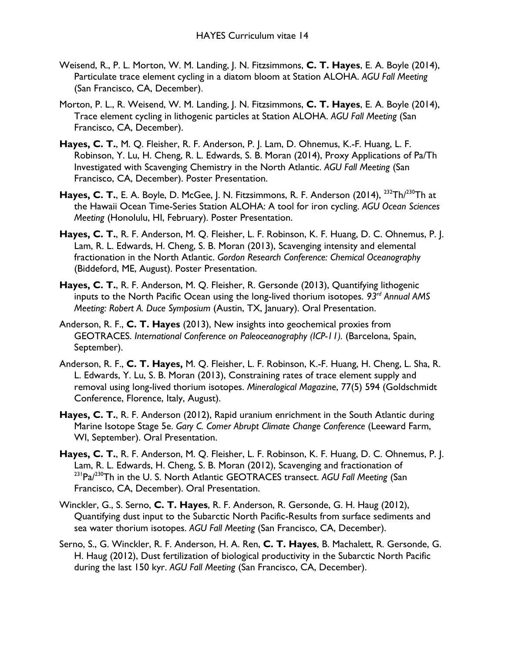- Weisend, R., P. L. Morton, W. M. Landing, J. N. Fitzsimmons, **C. T. Hayes**, E. A. Boyle (2014), Particulate trace element cycling in a diatom bloom at Station ALOHA. *AGU Fall Meeting*  (San Francisco, CA, December).
- Morton, P. L., R. Weisend, W. M. Landing, J. N. Fitzsimmons, **C. T. Hayes**, E. A. Boyle (2014), Trace element cycling in lithogenic particles at Station ALOHA. *AGU Fall Meeting* (San Francisco, CA, December).
- **Hayes, C. T.**, M. Q. Fleisher, R. F. Anderson, P. J. Lam, D. Ohnemus, K.-F. Huang, L. F. Robinson, Y. Lu, H. Cheng, R. L. Edwards, S. B. Moran (2014), Proxy Applications of Pa/Th Investigated with Scavenging Chemistry in the North Atlantic. *AGU Fall Meeting* (San Francisco, CA, December). Poster Presentation.
- Hayes, C. T., E. A. Boyle, D. McGee, J. N. Fitzsimmons, R. F. Anderson (2014), <sup>232</sup>Th/<sup>230</sup>Th at the Hawaii Ocean Time-Series Station ALOHA: A tool for iron cycling. *AGU Ocean Sciences Meeting* (Honolulu, HI, February). Poster Presentation.
- **Hayes, C. T.**, R. F. Anderson, M. Q. Fleisher, L. F. Robinson, K. F. Huang, D. C. Ohnemus, P. J. Lam, R. L. Edwards, H. Cheng, S. B. Moran (2013), Scavenging intensity and elemental fractionation in the North Atlantic. *Gordon Research Conference: Chemical Oceanography* (Biddeford, ME, August). Poster Presentation.
- **Hayes, C. T.**, R. F. Anderson, M. Q. Fleisher, R. Gersonde (2013), Quantifying lithogenic inputs to the North Pacific Ocean using the long-lived thorium isotopes. *93rd Annual AMS Meeting: Robert A. Duce Symposium* (Austin, TX, January). Oral Presentation.
- Anderson, R. F., **C. T. Hayes** (2013), New insights into geochemical proxies from GEOTRACES. International Conference on Paleoceanography (ICP-11). (Barcelona, Spain, September).
- Anderson, R. F., **C. T. Hayes,** M. Q. Fleisher, L. F. Robinson, K.-F. Huang, H. Cheng, L. Sha, R. L. Edwards, Y. Lu, S. B. Moran (2013), Constraining rates of trace element supply and removal using long-lived thorium isotopes. *Mineralogical Magazine*, 77(5) 594 (Goldschmidt Conference, Florence, Italy, August).
- **Hayes, C. T.**, R. F. Anderson (2012), Rapid uranium enrichment in the South Atlantic during Marine Isotope Stage 5e. *Gary C. Comer Abrupt Climate Change Conference* (Leeward Farm, WI, September). Oral Presentation.
- **Hayes, C. T.**, R. F. Anderson, M. Q. Fleisher, L. F. Robinson, K. F. Huang, D. C. Ohnemus, P. J. Lam, R. L. Edwards, H. Cheng, S. B. Moran (2012), Scavenging and fractionation of 231Pa/230Th in the U. S. North Atlantic GEOTRACES transect. *AGU Fall Meeting* (San Francisco, CA, December). Oral Presentation.
- Winckler, G., S. Serno, **C. T. Hayes**, R. F. Anderson, R. Gersonde, G. H. Haug (2012), Quantifying dust input to the Subarctic North Pacific-Results from surface sediments and sea water thorium isotopes. *AGU Fall Meeting* (San Francisco, CA, December).
- Serno, S., G. Winckler, R. F. Anderson, H. A. Ren, **C. T. Hayes**, B. Machalett, R. Gersonde, G. H. Haug (2012), Dust fertilization of biological productivity in the Subarctic North Pacific during the last 150 kyr. *AGU Fall Meeting* (San Francisco, CA, December).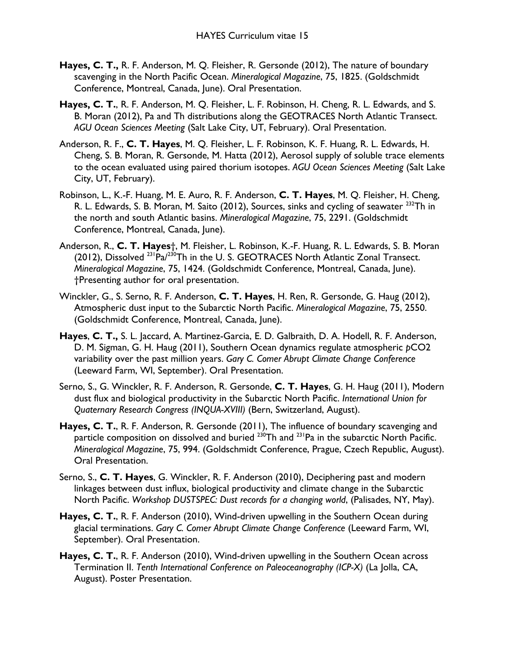- **Hayes, C. T.,** R. F. Anderson, M. Q. Fleisher, R. Gersonde (2012), The nature of boundary scavenging in the North Pacific Ocean. *Mineralogical Magazine*, 75, 1825. (Goldschmidt Conference, Montreal, Canada, June). Oral Presentation.
- **Hayes, C. T.**, R. F. Anderson, M. Q. Fleisher, L. F. Robinson, H. Cheng, R. L. Edwards, and S. B. Moran (2012), Pa and Th distributions along the GEOTRACES North Atlantic Transect. *AGU Ocean Sciences Meeting* (Salt Lake City, UT, February). Oral Presentation.
- Anderson, R. F., **C. T. Hayes**, M. Q. Fleisher, L. F. Robinson, K. F. Huang, R. L. Edwards, H. Cheng, S. B. Moran, R. Gersonde, M. Hatta (2012), Aerosol supply of soluble trace elements to the ocean evaluated using paired thorium isotopes. *AGU Ocean Sciences Meeting* (Salt Lake City, UT, February).
- Robinson, L., K.-F. Huang, M. E. Auro, R. F. Anderson, **C. T. Hayes**, M. Q. Fleisher, H. Cheng, R. L. Edwards, S. B. Moran, M. Saito (2012), Sources, sinks and cycling of seawater <sup>232</sup>Th in the north and south Atlantic basins. *Mineralogical Magazine*, 75, 2291. (Goldschmidt Conference, Montreal, Canada, June).
- Anderson, R., **C. T. Hayes**†, M. Fleisher, L. Robinson, K.-F. Huang, R. L. Edwards, S. B. Moran (2012), Dissolved <sup>231</sup>Pa/<sup>230</sup>Th in the U.S. GEOTRACES North Atlantic Zonal Transect. *Mineralogical Magazine*, 75, 1424. (Goldschmidt Conference, Montreal, Canada, June). †Presenting author for oral presentation.
- Winckler, G., S. Serno, R. F. Anderson, **C. T. Hayes**, H. Ren, R. Gersonde, G. Haug (2012), Atmospheric dust input to the Subarctic North Pacific. *Mineralogical Magazine*, 75, 2550. (Goldschmidt Conference, Montreal, Canada, June).
- **Hayes**, **C. T.,** S. L. Jaccard, A. Martinez-Garcia, E. D. Galbraith, D. A. Hodell, R. F. Anderson, D. M. Sigman, G. H. Haug (2011), Southern Ocean dynamics regulate atmospheric *p*CO2 variability over the past million years. *Gary C. Comer Abrupt Climate Change Conference* (Leeward Farm, WI, September). Oral Presentation.
- Serno, S., G. Winckler, R. F. Anderson, R. Gersonde, **C. T. Hayes**, G. H. Haug (2011), Modern dust flux and biological productivity in the Subarctic North Pacific. *International Union for Quaternary Research Congress (INQUA-XVIII)* (Bern, Switzerland, August).
- **Hayes, C. T.**, R. F. Anderson, R. Gersonde (2011), The influence of boundary scavenging and particle composition on dissolved and buried  $230$ Th and  $231$ Pa in the subarctic North Pacific. *Mineralogical Magazine*, 75, 994. (Goldschmidt Conference, Prague, Czech Republic, August). Oral Presentation.
- Serno, S., **C. T. Hayes**, G. Winckler, R. F. Anderson (2010), Deciphering past and modern linkages between dust influx, biological productivity and climate change in the Subarctic North Pacific. *Workshop DUSTSPEC: Dust records for a changing world*, (Palisades, NY, May).
- **Hayes, C. T.**, R. F. Anderson (2010), Wind-driven upwelling in the Southern Ocean during glacial terminations. *Gary C. Comer Abrupt Climate Change Conference* (Leeward Farm, WI, September). Oral Presentation.
- **Hayes, C. T.**, R. F. Anderson (2010), Wind-driven upwelling in the Southern Ocean across Termination II. *Tenth International Conference on Paleoceanography (ICP-X)* (La Jolla, CA, August). Poster Presentation.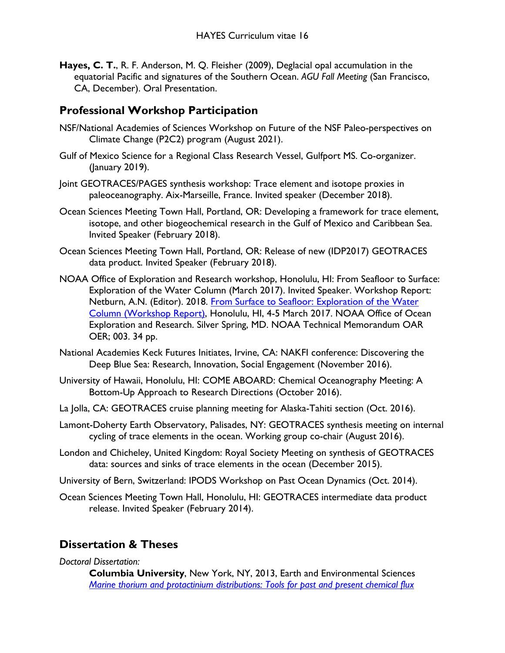**Hayes, C. T.**, R. F. Anderson, M. Q. Fleisher (2009), Deglacial opal accumulation in the equatorial Pacific and signatures of the Southern Ocean. *AGU Fall Meeting* (San Francisco, CA, December). Oral Presentation.

### **Professional Workshop Participation**

- NSF/National Academies of Sciences Workshop on Future of the NSF Paleo-perspectives on Climate Change (P2C2) program (August 2021).
- Gulf of Mexico Science for a Regional Class Research Vessel, Gulfport MS. Co-organizer. (January 2019).
- Joint GEOTRACES/PAGES synthesis workshop: Trace element and isotope proxies in paleoceanography. Aix-Marseille, France. Invited speaker (December 2018).
- Ocean Sciences Meeting Town Hall, Portland, OR: Developing a framework for trace element, isotope, and other biogeochemical research in the Gulf of Mexico and Caribbean Sea. Invited Speaker (February 2018).
- Ocean Sciences Meeting Town Hall, Portland, OR: Release of new (IDP2017) GEOTRACES data product. Invited Speaker (February 2018).
- NOAA Office of Exploration and Research workshop, Honolulu, HI: From Seafloor to Surface: Exploration of the Water Column (March 2017). Invited Speaker. Workshop Report: Netburn, A.N. (Editor). 2018. From Surface to Seafloor: Exploration of the Water [Column \(Workshop Report\),](https://doi.org/10.25923/rnjx-vn79) Honolulu, HI, 4-5 March 2017. NOAA Office of Ocean Exploration and Research. Silver Spring, MD. NOAA Technical Memorandum OAR OER; 003. 34 pp.
- National Academies Keck Futures Initiates, Irvine, CA: NAKFI conference: Discovering the Deep Blue Sea: Research, Innovation, Social Engagement (November 2016).
- University of Hawaii, Honolulu, HI: COME ABOARD: Chemical Oceanography Meeting: A Bottom-Up Approach to Research Directions (October 2016).
- La Jolla, CA: GEOTRACES cruise planning meeting for Alaska-Tahiti section (Oct. 2016).
- Lamont-Doherty Earth Observatory, Palisades, NY: GEOTRACES synthesis meeting on internal cycling of trace elements in the ocean. Working group co-chair (August 2016).
- London and Chicheley, United Kingdom: Royal Society Meeting on synthesis of GEOTRACES data: sources and sinks of trace elements in the ocean (December 2015).
- University of Bern, Switzerland: IPODS Workshop on Past Ocean Dynamics (Oct. 2014).
- Ocean Sciences Meeting Town Hall, Honolulu, HI: GEOTRACES intermediate data product release. Invited Speaker (February 2014).

### **Dissertation & Theses**

#### *Doctoral Dissertation:*

**Columbia University**, New York, NY, 2013, Earth and Environmental Sciences *[Marine thorium and protactinium distributions: Tools for past and present chemical flux](https://academiccommons.columbia.edu/catalog/ac:167037)*